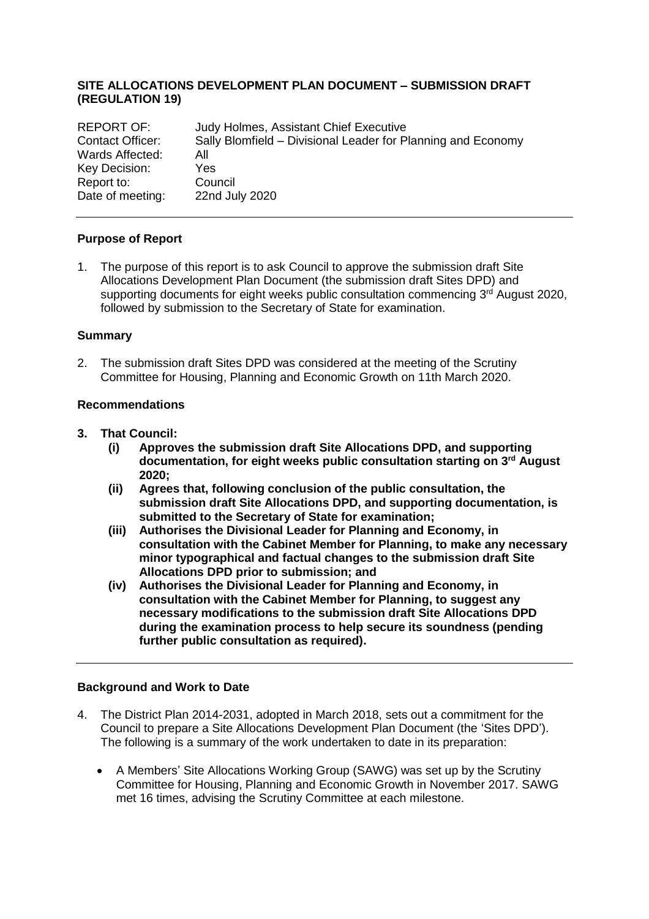# **SITE ALLOCATIONS DEVELOPMENT PLAN DOCUMENT – SUBMISSION DRAFT (REGULATION 19)**

| <b>REPORT OF:</b> | Judy Holmes, Assistant Chief Executive                       |
|-------------------|--------------------------------------------------------------|
| Contact Officer:  | Sally Blomfield - Divisional Leader for Planning and Economy |
| Wards Affected:   | All                                                          |
| Key Decision:     | Yes.                                                         |
| Report to:        | Council                                                      |
| Date of meeting:  | 22nd July 2020                                               |

#### **Purpose of Report**

1. The purpose of this report is to ask Council to approve the submission draft Site Allocations Development Plan Document (the submission draft Sites DPD) and supporting documents for eight weeks public consultation commencing 3<sup>rd</sup> August 2020, followed by submission to the Secretary of State for examination.

#### **Summary**

2. The submission draft Sites DPD was considered at the meeting of the Scrutiny Committee for Housing, Planning and Economic Growth on 11th March 2020.

## **Recommendations**

- **3. That Council:**
	- **(i) Approves the submission draft Site Allocations DPD, and supporting documentation, for eight weeks public consultation starting on 3 rd August 2020;**
	- **(ii) Agrees that, following conclusion of the public consultation, the submission draft Site Allocations DPD, and supporting documentation, is submitted to the Secretary of State for examination;**
	- **(iii) Authorises the Divisional Leader for Planning and Economy, in consultation with the Cabinet Member for Planning, to make any necessary minor typographical and factual changes to the submission draft Site Allocations DPD prior to submission; and**
	- **(iv) Authorises the Divisional Leader for Planning and Economy, in consultation with the Cabinet Member for Planning, to suggest any necessary modifications to the submission draft Site Allocations DPD during the examination process to help secure its soundness (pending further public consultation as required).**

#### **Background and Work to Date**

- 4. The District Plan 2014-2031, adopted in March 2018, sets out a commitment for the Council to prepare a Site Allocations Development Plan Document (the 'Sites DPD'). The following is a summary of the work undertaken to date in its preparation:
	- A Members' Site Allocations Working Group (SAWG) was set up by the Scrutiny Committee for Housing, Planning and Economic Growth in November 2017. SAWG met 16 times, advising the Scrutiny Committee at each milestone.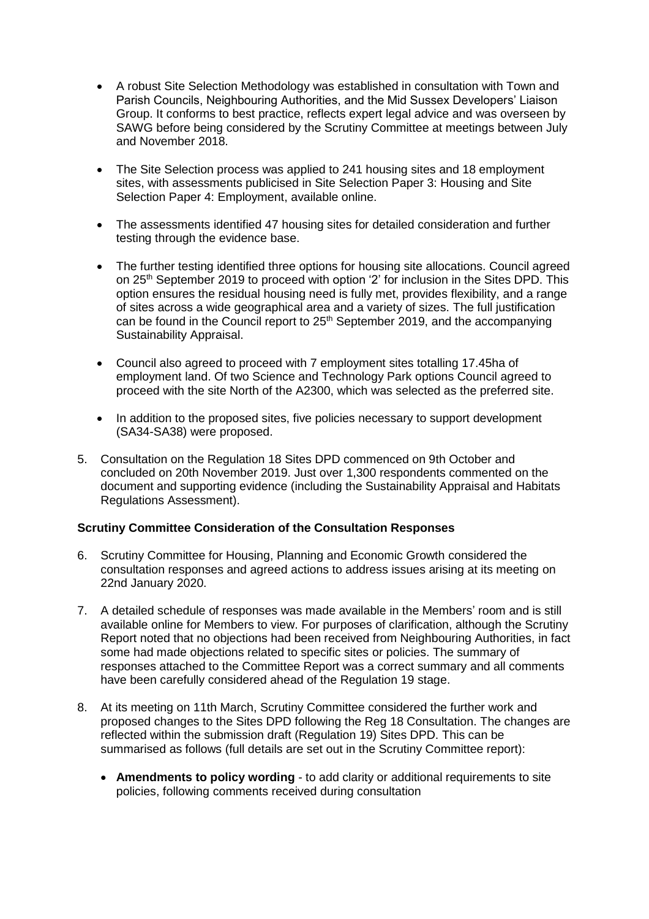- A robust Site Selection Methodology was established in consultation with Town and Parish Councils, Neighbouring Authorities, and the Mid Sussex Developers' Liaison Group. It conforms to best practice, reflects expert legal advice and was overseen by SAWG before being considered by the Scrutiny Committee at meetings between July and November 2018.
- The Site Selection process was applied to 241 housing sites and 18 employment sites, with assessments publicised in Site Selection Paper 3: Housing and Site Selection Paper 4: Employment, available online.
- The assessments identified 47 housing sites for detailed consideration and further testing through the evidence base.
- The further testing identified three options for housing site allocations. Council agreed on 25<sup>th</sup> September 2019 to proceed with option '2' for inclusion in the Sites DPD. This option ensures the residual housing need is fully met, provides flexibility, and a range of sites across a wide geographical area and a variety of sizes. The full justification can be found in the Council report to 25<sup>th</sup> September 2019, and the accompanying Sustainability Appraisal.
- Council also agreed to proceed with 7 employment sites totalling 17.45ha of employment land. Of two Science and Technology Park options Council agreed to proceed with the site North of the A2300, which was selected as the preferred site.
- In addition to the proposed sites, five policies necessary to support development (SA34-SA38) were proposed.
- 5. Consultation on the Regulation 18 Sites DPD commenced on 9th October and concluded on 20th November 2019. Just over 1,300 respondents commented on the document and supporting evidence (including the Sustainability Appraisal and Habitats Regulations Assessment).

## **Scrutiny Committee Consideration of the Consultation Responses**

- 6. Scrutiny Committee for Housing, Planning and Economic Growth considered the consultation responses and agreed actions to address issues arising at its meeting on 22nd January 2020.
- 7. A detailed schedule of responses was made available in the Members' room and is still available online for Members to view. For purposes of clarification, although the Scrutiny Report noted that no objections had been received from Neighbouring Authorities, in fact some had made objections related to specific sites or policies. The summary of responses attached to the Committee Report was a correct summary and all comments have been carefully considered ahead of the Regulation 19 stage.
- 8. At its meeting on 11th March, Scrutiny Committee considered the further work and proposed changes to the Sites DPD following the Reg 18 Consultation. The changes are reflected within the submission draft (Regulation 19) Sites DPD. This can be summarised as follows (full details are set out in the Scrutiny Committee report):
	- **Amendments to policy wording** to add clarity or additional requirements to site policies, following comments received during consultation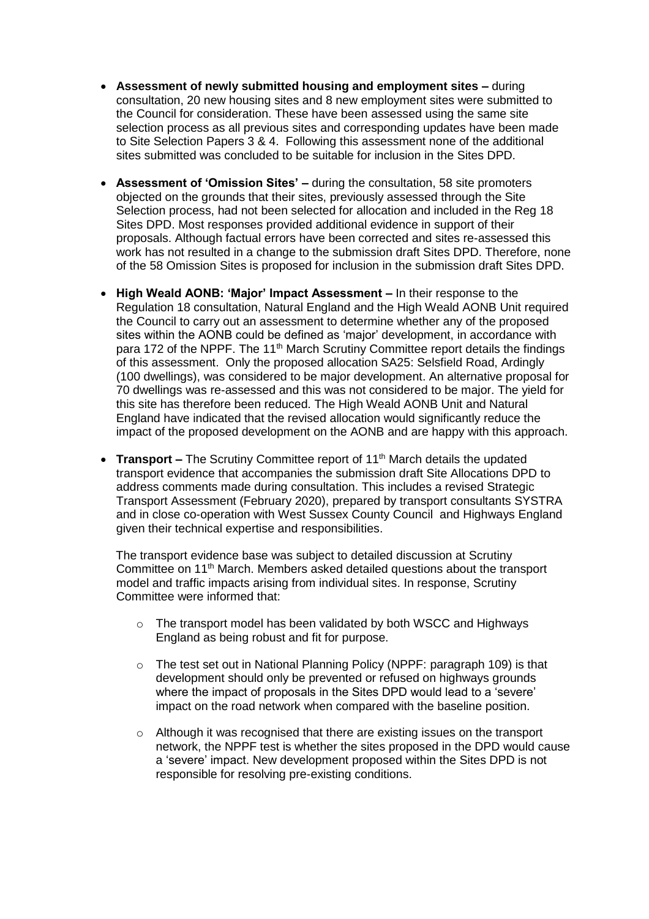- **Assessment of newly submitted housing and employment sites –** during consultation, 20 new housing sites and 8 new employment sites were submitted to the Council for consideration. These have been assessed using the same site selection process as all previous sites and corresponding updates have been made to Site Selection Papers 3 & 4. Following this assessment none of the additional sites submitted was concluded to be suitable for inclusion in the Sites DPD.
- **Assessment of 'Omission Sites' –** during the consultation, 58 site promoters objected on the grounds that their sites, previously assessed through the Site Selection process, had not been selected for allocation and included in the Reg 18 Sites DPD. Most responses provided additional evidence in support of their proposals. Although factual errors have been corrected and sites re-assessed this work has not resulted in a change to the submission draft Sites DPD. Therefore, none of the 58 Omission Sites is proposed for inclusion in the submission draft Sites DPD.
- **High Weald AONB: 'Major' Impact Assessment –** In their response to the Regulation 18 consultation, Natural England and the High Weald AONB Unit required the Council to carry out an assessment to determine whether any of the proposed sites within the AONB could be defined as 'major' development, in accordance with para 172 of the NPPF. The 11<sup>th</sup> March Scrutiny Committee report details the findings of this assessment. Only the proposed allocation SA25: Selsfield Road, Ardingly (100 dwellings), was considered to be major development. An alternative proposal for 70 dwellings was re-assessed and this was not considered to be major. The yield for this site has therefore been reduced. The High Weald AONB Unit and Natural England have indicated that the revised allocation would significantly reduce the impact of the proposed development on the AONB and are happy with this approach.
- **Transport –** The Scrutiny Committee report of 11<sup>th</sup> March details the updated transport evidence that accompanies the submission draft Site Allocations DPD to address comments made during consultation. This includes a revised Strategic Transport Assessment (February 2020), prepared by transport consultants SYSTRA and in close co-operation with West Sussex County Council and Highways England given their technical expertise and responsibilities.

The transport evidence base was subject to detailed discussion at Scrutiny Committee on 11<sup>th</sup> March. Members asked detailed questions about the transport model and traffic impacts arising from individual sites. In response, Scrutiny Committee were informed that:

- o The transport model has been validated by both WSCC and Highways England as being robust and fit for purpose.
- $\circ$  The test set out in National Planning Policy (NPPF: paragraph 109) is that development should only be prevented or refused on highways grounds where the impact of proposals in the Sites DPD would lead to a 'severe' impact on the road network when compared with the baseline position.
- o Although it was recognised that there are existing issues on the transport network, the NPPF test is whether the sites proposed in the DPD would cause a 'severe' impact. New development proposed within the Sites DPD is not responsible for resolving pre-existing conditions.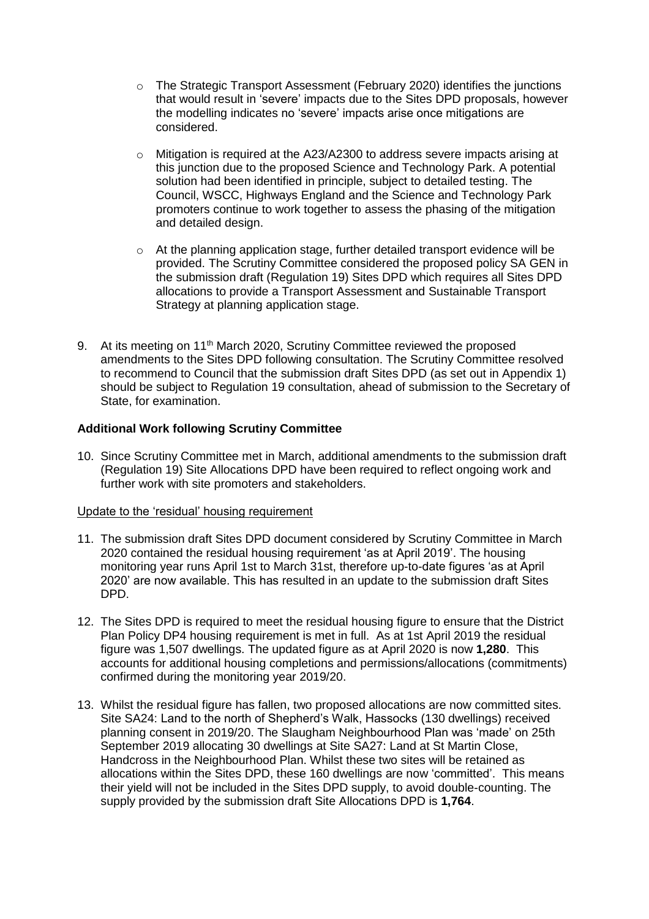- $\circ$  The Strategic Transport Assessment (February 2020) identifies the junctions that would result in 'severe' impacts due to the Sites DPD proposals, however the modelling indicates no 'severe' impacts arise once mitigations are considered.
- o Mitigation is required at the A23/A2300 to address severe impacts arising at this junction due to the proposed Science and Technology Park. A potential solution had been identified in principle, subject to detailed testing. The Council, WSCC, Highways England and the Science and Technology Park promoters continue to work together to assess the phasing of the mitigation and detailed design.
- o At the planning application stage, further detailed transport evidence will be provided. The Scrutiny Committee considered the proposed policy SA GEN in the submission draft (Regulation 19) Sites DPD which requires all Sites DPD allocations to provide a Transport Assessment and Sustainable Transport Strategy at planning application stage.
- 9. At its meeting on 11<sup>th</sup> March 2020, Scrutiny Committee reviewed the proposed amendments to the Sites DPD following consultation. The Scrutiny Committee resolved to recommend to Council that the submission draft Sites DPD (as set out in Appendix 1) should be subject to Regulation 19 consultation, ahead of submission to the Secretary of State, for examination.

# **Additional Work following Scrutiny Committee**

10. Since Scrutiny Committee met in March, additional amendments to the submission draft (Regulation 19) Site Allocations DPD have been required to reflect ongoing work and further work with site promoters and stakeholders.

## Update to the 'residual' housing requirement

- 11. The submission draft Sites DPD document considered by Scrutiny Committee in March 2020 contained the residual housing requirement 'as at April 2019'. The housing monitoring year runs April 1st to March 31st, therefore up-to-date figures 'as at April 2020' are now available. This has resulted in an update to the submission draft Sites DPD.
- 12. The Sites DPD is required to meet the residual housing figure to ensure that the District Plan Policy DP4 housing requirement is met in full. As at 1st April 2019 the residual figure was 1,507 dwellings. The updated figure as at April 2020 is now **1,280**. This accounts for additional housing completions and permissions/allocations (commitments) confirmed during the monitoring year 2019/20.
- 13. Whilst the residual figure has fallen, two proposed allocations are now committed sites. Site SA24: Land to the north of Shepherd's Walk, Hassocks (130 dwellings) received planning consent in 2019/20. The Slaugham Neighbourhood Plan was 'made' on 25th September 2019 allocating 30 dwellings at Site SA27: Land at St Martin Close, Handcross in the Neighbourhood Plan. Whilst these two sites will be retained as allocations within the Sites DPD, these 160 dwellings are now 'committed'. This means their yield will not be included in the Sites DPD supply, to avoid double-counting. The supply provided by the submission draft Site Allocations DPD is **1,764**.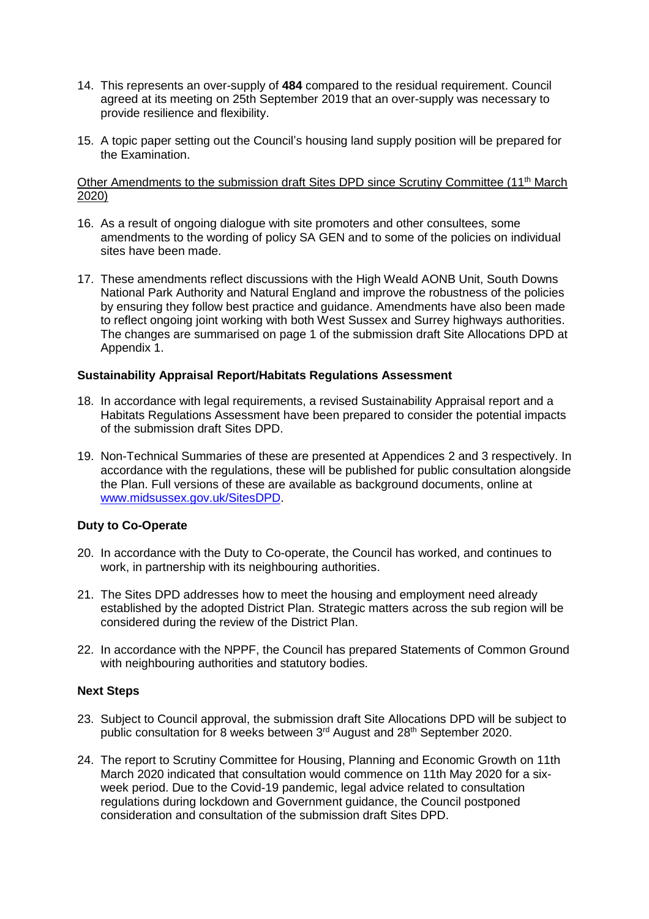- 14. This represents an over-supply of **484** compared to the residual requirement. Council agreed at its meeting on 25th September 2019 that an over-supply was necessary to provide resilience and flexibility.
- 15. A topic paper setting out the Council's housing land supply position will be prepared for the Examination.

#### Other Amendments to the submission draft Sites DPD since Scrutiny Committee (11<sup>th</sup> March 2020)

- 16. As a result of ongoing dialogue with site promoters and other consultees, some amendments to the wording of policy SA GEN and to some of the policies on individual sites have been made.
- 17. These amendments reflect discussions with the High Weald AONB Unit, South Downs National Park Authority and Natural England and improve the robustness of the policies by ensuring they follow best practice and guidance. Amendments have also been made to reflect ongoing joint working with both West Sussex and Surrey highways authorities. The changes are summarised on page 1 of the submission draft Site Allocations DPD at Appendix 1.

## **Sustainability Appraisal Report/Habitats Regulations Assessment**

- 18. In accordance with legal requirements, a revised Sustainability Appraisal report and a Habitats Regulations Assessment have been prepared to consider the potential impacts of the submission draft Sites DPD.
- 19. Non-Technical Summaries of these are presented at Appendices 2 and 3 respectively. In accordance with the regulations, these will be published for public consultation alongside the Plan. Full versions of these are available as background documents, online at [www.midsussex.gov.uk/SitesDPD.](http://www.midsussex.gov.uk/SitesDPD)

## **Duty to Co-Operate**

- 20. In accordance with the Duty to Co-operate, the Council has worked, and continues to work, in partnership with its neighbouring authorities.
- 21. The Sites DPD addresses how to meet the housing and employment need already established by the adopted District Plan. Strategic matters across the sub region will be considered during the review of the District Plan.
- 22. In accordance with the NPPF, the Council has prepared Statements of Common Ground with neighbouring authorities and statutory bodies.

#### **Next Steps**

- 23. Subject to Council approval, the submission draft Site Allocations DPD will be subject to public consultation for 8 weeks between 3<sup>rd</sup> August and 28<sup>th</sup> September 2020.
- 24. The report to Scrutiny Committee for Housing, Planning and Economic Growth on 11th March 2020 indicated that consultation would commence on 11th May 2020 for a sixweek period. Due to the Covid-19 pandemic, legal advice related to consultation regulations during lockdown and Government guidance, the Council postponed consideration and consultation of the submission draft Sites DPD.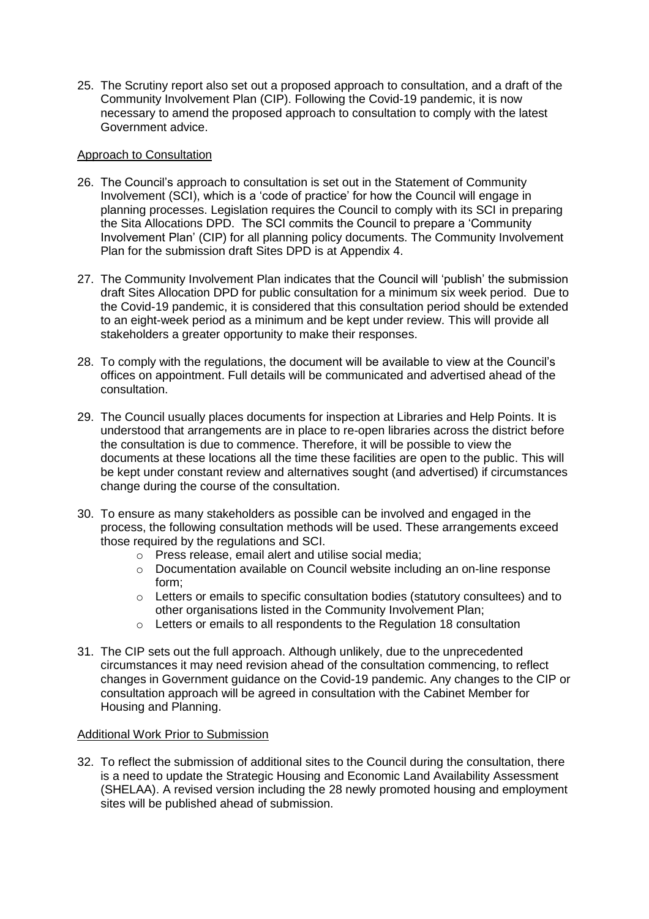25. The Scrutiny report also set out a proposed approach to consultation, and a draft of the Community Involvement Plan (CIP). Following the Covid-19 pandemic, it is now necessary to amend the proposed approach to consultation to comply with the latest Government advice.

## Approach to Consultation

- 26. The Council's approach to consultation is set out in the Statement of Community Involvement (SCI), which is a 'code of practice' for how the Council will engage in planning processes. Legislation requires the Council to comply with its SCI in preparing the Sita Allocations DPD. The SCI commits the Council to prepare a 'Community Involvement Plan' (CIP) for all planning policy documents. The Community Involvement Plan for the submission draft Sites DPD is at Appendix 4.
- 27. The Community Involvement Plan indicates that the Council will 'publish' the submission draft Sites Allocation DPD for public consultation for a minimum six week period. Due to the Covid-19 pandemic, it is considered that this consultation period should be extended to an eight-week period as a minimum and be kept under review. This will provide all stakeholders a greater opportunity to make their responses.
- 28. To comply with the regulations, the document will be available to view at the Council's offices on appointment. Full details will be communicated and advertised ahead of the consultation.
- 29. The Council usually places documents for inspection at Libraries and Help Points. It is understood that arrangements are in place to re-open libraries across the district before the consultation is due to commence. Therefore, it will be possible to view the documents at these locations all the time these facilities are open to the public. This will be kept under constant review and alternatives sought (and advertised) if circumstances change during the course of the consultation.
- 30. To ensure as many stakeholders as possible can be involved and engaged in the process, the following consultation methods will be used. These arrangements exceed those required by the regulations and SCI.
	- o Press release, email alert and utilise social media;
	- o Documentation available on Council website including an on-line response form;
	- $\circ$  Letters or emails to specific consultation bodies (statutory consultees) and to other organisations listed in the Community Involvement Plan;
	- o Letters or emails to all respondents to the Regulation 18 consultation
- 31. The CIP sets out the full approach. Although unlikely, due to the unprecedented circumstances it may need revision ahead of the consultation commencing, to reflect changes in Government guidance on the Covid-19 pandemic. Any changes to the CIP or consultation approach will be agreed in consultation with the Cabinet Member for Housing and Planning.

#### Additional Work Prior to Submission

32. To reflect the submission of additional sites to the Council during the consultation, there is a need to update the Strategic Housing and Economic Land Availability Assessment (SHELAA). A revised version including the 28 newly promoted housing and employment sites will be published ahead of submission.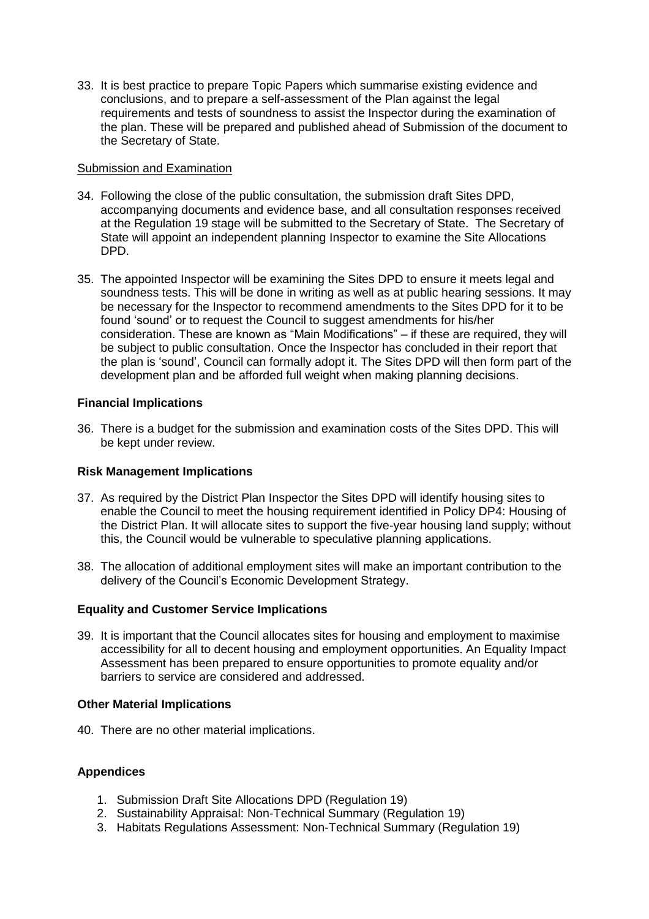33. It is best practice to prepare Topic Papers which summarise existing evidence and conclusions, and to prepare a self-assessment of the Plan against the legal requirements and tests of soundness to assist the Inspector during the examination of the plan. These will be prepared and published ahead of Submission of the document to the Secretary of State.

#### Submission and Examination

- 34. Following the close of the public consultation, the submission draft Sites DPD, accompanying documents and evidence base, and all consultation responses received at the Regulation 19 stage will be submitted to the Secretary of State. The Secretary of State will appoint an independent planning Inspector to examine the Site Allocations DPD.
- 35. The appointed Inspector will be examining the Sites DPD to ensure it meets legal and soundness tests. This will be done in writing as well as at public hearing sessions. It may be necessary for the Inspector to recommend amendments to the Sites DPD for it to be found 'sound' or to request the Council to suggest amendments for his/her consideration. These are known as "Main Modifications" – if these are required, they will be subject to public consultation. Once the Inspector has concluded in their report that the plan is 'sound', Council can formally adopt it. The Sites DPD will then form part of the development plan and be afforded full weight when making planning decisions.

## **Financial Implications**

36. There is a budget for the submission and examination costs of the Sites DPD. This will be kept under review.

## **Risk Management Implications**

- 37. As required by the District Plan Inspector the Sites DPD will identify housing sites to enable the Council to meet the housing requirement identified in Policy DP4: Housing of the District Plan. It will allocate sites to support the five-year housing land supply; without this, the Council would be vulnerable to speculative planning applications.
- 38. The allocation of additional employment sites will make an important contribution to the delivery of the Council's Economic Development Strategy.

## **Equality and Customer Service Implications**

39. It is important that the Council allocates sites for housing and employment to maximise accessibility for all to decent housing and employment opportunities. An Equality Impact Assessment has been prepared to ensure opportunities to promote equality and/or barriers to service are considered and addressed.

#### **Other Material Implications**

40. There are no other material implications.

## **Appendices**

- 1. Submission Draft Site Allocations DPD (Regulation 19)
- 2. Sustainability Appraisal: Non-Technical Summary (Regulation 19)
- 3. Habitats Regulations Assessment: Non-Technical Summary (Regulation 19)